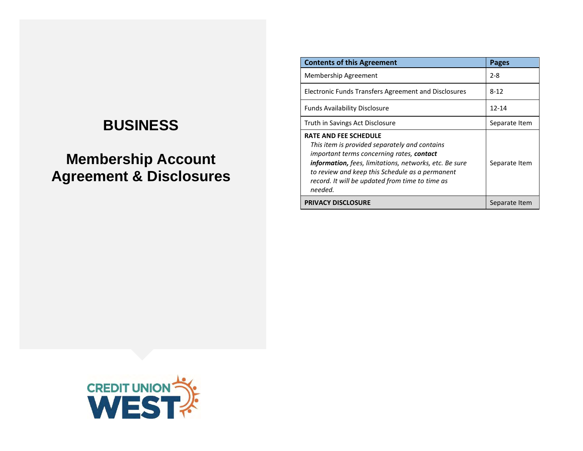# **BUSINESS**

# **Membership Account Agreement & Disclosures**

| <b>Contents of this Agreement</b>                                                                                                                                                                                                                                                                                   | <b>Pages</b>  |
|---------------------------------------------------------------------------------------------------------------------------------------------------------------------------------------------------------------------------------------------------------------------------------------------------------------------|---------------|
| Membership Agreement                                                                                                                                                                                                                                                                                                | $2 - 8$       |
| <b>Electronic Funds Transfers Agreement and Disclosures</b>                                                                                                                                                                                                                                                         | $8 - 12$      |
| <b>Funds Availability Disclosure</b>                                                                                                                                                                                                                                                                                | $12 - 14$     |
| Truth in Savings Act Disclosure                                                                                                                                                                                                                                                                                     | Separate Item |
| <b>RATE AND FEE SCHEDULE</b><br>This item is provided separately and contains<br>important terms concerning rates, <b>contact</b><br><b>information,</b> fees, limitations, networks, etc. Be sure<br>to review and keep this Schedule as a permanent<br>record. It will be updated from time to time as<br>needed. | Separate Item |
| <b>PRIVACY DISCLOSURE</b>                                                                                                                                                                                                                                                                                           | Separate Item |

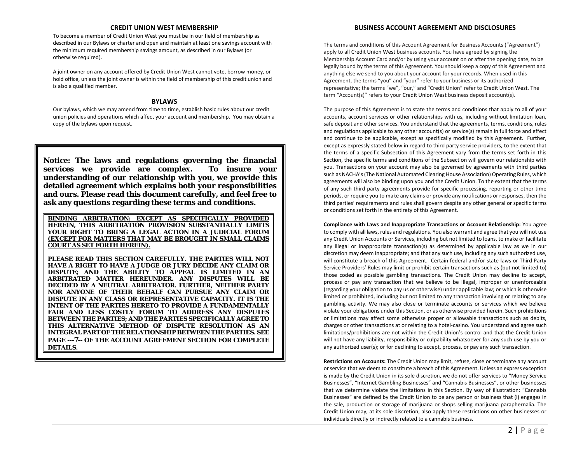## **CREDIT UNION WEST MEMBERSHIP**

To become a member of Credit Union West you must be in our field of membership as described in our Bylaws or charter and open and maintain at least one savings account with the minimum required membership savings amount, as described in our Bylaws (or otherwise required).

A joint owner on any account offered by Credit Union West cannot vote, borrow money, or hold office, unless the joint owner is within the field of membership of this credit union and is also a qualified member.

# **BYLAWS**

Our bylaws, which we may amend from time to time, establish basic rules about our credit union policies and operations which affect your account and membership. You may obtain a copy of the bylaws upon request.

**Notice: The laws and regulations governing the financial services we provide are complex. To insure your understanding of our relationship with you**, **we provide this detailed agreement which explains both your responsibilities and ours. Please read this document carefully, and feel free to ask any questions regarding these terms and conditions.**

**BINDING ARBITRATION: EXCEPT AS SPECIFICALLY PROVIDED**  THIS ARBITRATION PROVISION SUBSTANTIALLY **YOUR RIGHT TO BRING A LEGAL ACTION IN A JUDICIAL FORUM (EXCEPT FOR MATTERS THAT MAY BE BROUGHT IN SMALL CLAIMS COURT AS SET FORTH HEREIN).**

**PLEASE READ THIS SECTION CAREFULLY. THE PARTIES WILL NOT HAVE A RIGHT TO HAVE A JUDGE OR JURY DECIDE ANY CLAIM OR DISPUTE; AND THE ABILITY TO APPEAL IS LIMITED IN AN ARBITRATED MATTER HEREUNDER. ANY DISPUTES WILL BE DECIDED BY A NEUTRAL ARBITRATOR. FURTHER, NEITHER PARTY NOR ANYONE OF THEIR BEHALF CAN PURSUE ANY CLAIM OR DISPUTE IN ANY CLASS OR REPRESENTATIVE CAPACITY. IT IS THE INTENT OF THE PARTIES HERETO TO PROVIDE A FUNDAMENTALLY FAIR AND LESS COSTLY FORUM TO ADDRESS ANY DISPUTES BETWEEN THE PARTIES; AND THE PARTIES SPECIFICALLY AGREE TO THIS ALTERNATIVE METHOD OF DISPUTE RESOLUTION AS AN INTEGRAL PART OF THE RELATIONSHIP BETWEEN THE PARTIES. SEE PAGE ---7-- OF THE ACCOUNT AGREEMENT SECTION FOR COMPLETE DETAILS.** 

# **BUSINESS ACCOUNT AGREEMENT AND DISCLOSURES**

The terms and conditions of this Account Agreement for Business Accounts ("Agreement") apply to all Credit Union West business accounts. You have agreed by signing the Membership Account Card and/or by using your account on or after the opening date, to be legally bound by the terms of this Agreement. You should keep a copy of this Agreement and anything else we send to you about your account for your records. When used in this Agreement, the terms "you" and "your" refer to your business or its authorized representative; the terms "we", "our," and "Credit Union" refer to Credit Union West. The term "Account(s)" refers to your Credit Union West business deposit account(s).

The purpose of this Agreement is to state the terms and conditions that apply to all of your accounts, account services or other relationships with us, including without limitation loan, safe deposit and other services. You understand that the agreements, terms, conditions, rules and regulations applicable to any other account(s) or service(s) remain in full force and effect and continue to be applicable, except as specifically modified by this Agreement. Further, except as expressly stated below in regard to third party service providers, to the extent that the terms of a specific Subsection of this Agreement vary from the terms set forth in this Section, the specific terms and conditions of the Subsection will govern our relationship with you. Transactions on your account may also be governed by agreements with third parties such as NACHA's (The National Automated Clearing House Association) Operating Rules, which agreements will also be binding upon you and the Credit Union. To the extent that the terms of any such third party agreements provide for specific processing, reporting or other time periods, or require you to make any claims or provide any notifications or responses, then the third parties' requirements and rules shall govern despite any other general or specific terms or conditions set forth in the entirety of this Agreement.

**Compliance with Laws and Inappropriate Transactions or Account Relationship:** You agree to comply with all laws, rules and regulations. You also warrant and agree that you will not use any Credit Union Accounts or Services, including but not limited to loans, to make or facilitate any illegal or inappropriate transaction(s) as determined by applicable law as we in our discretion may deem inappropriate; and that any such use, including any such authorized use, will constitute a breach of this Agreement. Certain federal and/or state laws or Third Party Service Providers' Rules may limit or prohibit certain transactions such as (but not limited to) those coded as possible gambling transactions. The Credit Union may decline to accept, process or pay any transaction that we believe to be illegal, improper or unenforceable (regarding your obligation to pay us or otherwise) under applicable law; or which is otherwise limited or prohibited, including but not limited to any transaction involving or relating to any gambling activity. We may also close or terminate accounts or services which we believe violate your obligations under this Section, or as otherwise provided herein. Such prohibitions or limitations may affect some otherwise proper or allowable transactions such as debits, charges or other transactions at or relating to a hotel-casino. You understand and agree such limitations/prohibitions are not within the Credit Union's control and that the Credit Union will not have any liability, responsibility or culpability whatsoever for any such use by you or any authorized user(s); or for declining to accept, process, or pay any such transaction.

**Restrictions on Accounts:** The Credit Union may limit, refuse, close or terminate any account or service that we deem to constitute a breach of this Agreement. Unless an express exception is made by the Credit Union in its sole discretion, we do not offer services to "Money Service Businesses", "Internet Gambling Businesses" and "Cannabis Businesses", or other businesses that we determine violate the limitations in this Section. By way of illustration: "Cannabis Businesses" are defined by the Credit Union to be any person or business that (i) engages in the sale, production or storage of marijuana or shops selling marijuana paraphernalia. The Credit Union may, at its sole discretion, also apply these restrictions on other businesses or individuals directly or indirectly related to a cannabis business.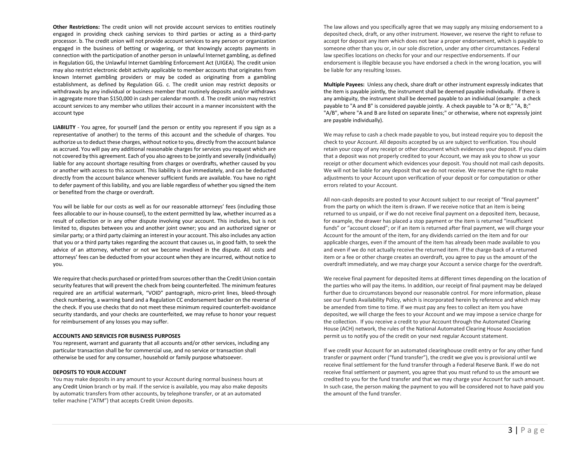**Other Restrictions:** The credit union will not provide account services to entities routinely engaged in providing check cashing services to third parties or acting as a third-party processor. b. The credit union will not provide account services to any person or organization engaged in the business of betting or wagering, or that knowingly accepts payments in connection with the participation of another person in unlawful Internet gambling, as defined in Regulation GG, the Unlawful Internet Gambling Enforcement Act (UIGEA). The credit union may also restrict electronic debit activity applicable to member accounts that originates from known Internet gambling providers or may be coded as originating from a gambling establishment, as defined by Regulation GG. c. The credit union may restrict deposits or withdrawals by any individual or business member that routinely deposits and/or withdraws in aggregate more than \$150,000 in cash per calendar month. d. The credit union may restrict account services to any member who utilizes their account in a manner inconsistent with the account type

**LIABILITY** - You agree, for yourself (and the person or entity you represent if you sign as a representative of another) to the terms of this account and the schedule of charges. You authorize us to deduct these charges, without notice to you, directly from the account balance as accrued. You will pay any additional reasonable charges for services you request which are not covered by this agreement. Each of you also agrees to be jointly and severally (individually) liable for any account shortage resulting from charges or overdrafts, whether caused by you or another with access to this account. This liability is due immediately, and can be deducted directly from the account balance whenever sufficient funds are available. You have no right to defer payment of this liability, and you are liable regardless of whether you signed the item or benefited from the charge or overdraft.

You will be liable for our costs as well as for our reasonable attorneys' fees (including those fees allocable to our in-house counsel), to the extent permitted by law, whether incurred as a result of collection or in any other dispute involving your account. This includes, but is not limited to, disputes between you and another joint owner; you and an authorized signer or similar party; or a third party claiming an interest in your account. This also includes any action that you or a third party takes regarding the account that causes us, in good faith, to seek the advice of an attorney, whether or not we become involved in the dispute. All costs and attorneys' fees can be deducted from your account when they are incurred, without notice to you.

We require that checks purchased or printed from sources other than the Credit Union contain security features that will prevent the check from being counterfeited. The minimum features required are an artificial watermark, "VOID" pantograph, micro-print lines, bleed-through check numbering, a warning band and a Regulation CC endorsement backer on the reverse of the check. If you use checks that do not meet these minimum required counterfeit-avoidance security standards, and your checks are counterfeited, we may refuse to honor your request for reimbursement of any losses you may suffer.

#### **ACCOUNTS AND SERVICES FOR BUSINESS PURPOSES**

You represent, warrant and guaranty that all accounts and/or other services, including any particular transaction shall be for commercial use, and no service or transaction shall otherwise be used for any consumer, household or family purpose whatsoever.

#### **DEPOSITS TO YOUR ACCOUNT**

You may make deposits in any amount to your Account during normal business hours at any Credit Union branch or by mail. If the service is available, you may also make deposits by automatic transfers from other accounts, by telephone transfer, or at an automated teller machine ("ATM") that accepts Credit Union deposits.

The law allows and you specifically agree that we may supply any missing endorsement to a deposited check, draft, or any other instrument. However, we reserve the right to refuse to accept for deposit any item which does not bear a proper endorsement, which is payable to someone other than you or, in our sole discretion, under any other circumstances. Federal law specifies locations on checks for your and our respective endorsements. If our endorsement is illegible because you have endorsed a check in the wrong location, you will be liable for any resulting losses.

**Multiple Payees:** Unless any check, share draft or other instrument expressly indicates that the item is payable jointly, the instrument shall be deemed payable individually. If there is any ambiguity, the instrument shall be deemed payable to an individual (example: a check payable to "A and B" is considered payable jointly. A check payable to "A or B;" "A, B;" "A/B", where "A and B are listed on separate lines;" or otherwise, where not expressly joint are payable individually).

We may refuse to cash a check made payable to you, but instead require you to deposit the check to your Account. All deposits accepted by us are subject to verification. You should retain your copy of any receipt or other document which evidences your deposit. If you claim that a deposit was not properly credited to your Account, we may ask you to show us your receipt or other document which evidences your deposit. You should not mail cash deposits. We will not be liable for any deposit that we do not receive. We reserve the right to make adjustments to your Account upon verification of your deposit or for computation or other errors related to your Account.

All non-cash deposits are posted to your Account subject to our receipt of "final payment" from the party on which the item is drawn. If we receive notice that an item is being returned to us unpaid, or if we do not receive final payment on a deposited item, because, for example, the drawer has placed a stop payment or the item is returned "insufficient funds" or "account closed"; or if an item is returned after final payment, we will charge your Account for the amount of the item, for any dividends carried on the item and for our applicable charges, even if the amount of the item has already been made available to you and even if we do not actually receive the returned item. If the charge-back of a returned item or a fee or other charge creates an overdraft, you agree to pay us the amount of the overdraft immediately, and we may charge your Account a service charge for the overdraft.

We receive final payment for deposited items at different times depending on the location of the parties who will pay the items. In addition, our receipt of final payment may be delayed further due to circumstances beyond our reasonable control. For more information, please see our Funds Availability Policy, which is incorporated herein by reference and which may be amended from time to time. If we must pay any fees to collect an item you have deposited, we will charge the fees to your Account and we may impose a service charge for the collection. If you receive a credit to your Account through the Automated Clearing House (ACH) network, the rules of the National Automated Clearing House Association permit us to notify you of the credit on your next regular Account statement.

If we credit your Account for an automated clearinghouse credit entry or for any other fund transfer or payment order ("fund transfer"), the credit we give you is provisional until we receive final settlement for the fund transfer through a Federal Reserve Bank. If we do not receive final settlement or payment, you agree that you must refund to us the amount we credited to you for the fund transfer and that we may charge your Account for such amount. In such case, the person making the payment to you will be considered not to have paid you the amount of the fund transfer.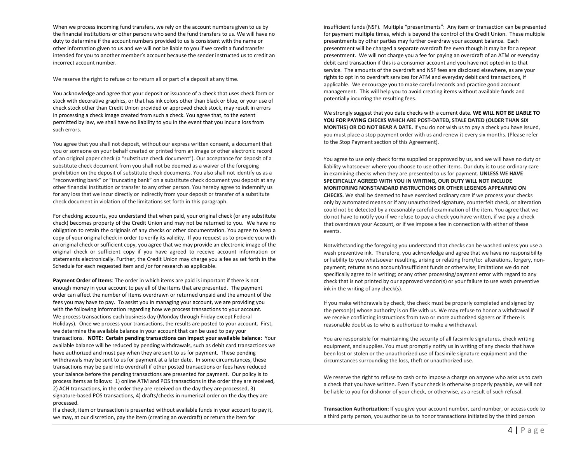When we process incoming fund transfers, we rely on the account numbers given to us by the financial institutions or other persons who send the fund transfers to us. We will have no duty to determine if the account numbers provided to us is consistent with the name or other information given to us and we will not be liable to you if we credit a fund transfer intended for you to another member's account because the sender instructed us to credit an incorrect account number.

We reserve the right to refuse or to return all or part of a deposit at any time.

You acknowledge and agree that your deposit or issuance of a check that uses check form or stock with decorative graphics, or that has ink colors other than black or blue, or your use of check stock other than Credit Union provided or approved check stock, may result in errors in processing a check image created from such a check. You agree that, to the extent permitted by law, we shall have no liability to you in the event that you incur a loss from such errors.

You agree that you shall not deposit, without our express written consent, a document that you or someone on your behalf created or printed from an image or other electronic record of an original paper check (a "substitute check document"). Our acceptance for deposit of a substitute check document from you shall not be deemed as a waiver of the foregoing prohibition on the deposit of substitute check documents. You also shall not identify us as a "reconverting bank" or "truncating bank" on a substitute check document you deposit at any other financial institution or transfer to any other person. You hereby agree to indemnify us for any loss that we incur directly or indirectly from your deposit or transfer of a substitute check document in violation of the limitations set forth in this paragraph.

For checking accounts, you understand that when paid, your original check (or any substitute check) becomes property of the Credit Union and may not be returned to you. We have no obligation to retain the originals of any checks or other documentation. You agree to keep a copy of your original check in order to verify its validity. If you request us to provide you with an original check or sufficient copy, you agree that we may provide an electronic image of the original check or sufficient copy if you have agreed to receive account information or statements electronically. Further, the Credit Union may charge you a fee as set forth in the Schedule for each requested item and /or for research as applicable.

**Payment Order of Items**: The order in which items are paid is important if there is not enough money in your account to pay all of the items that are presented. The payment order can affect the number of items overdrawn or returned unpaid and the amount of the fees you may have to pay. To assist you in managing your account, we are providing you with the following information regarding how we process transactions to your account. We process transactions each business day (Monday through Friday except Federal Holidays). Once we process your transactions, the results are posted to your account. First, we determine the available balance in your account that can be used to pay your transactions. **NOTE: Certain pending transactions can impact your available balance:** Your available balance will be reduced by pending withdrawals, such as debit card transactions we have authorized and must pay when they are sent to us for payment. These pending withdrawals may be sent to us for payment at a later date. In some circumstances, these transactions may be paid into overdraft if other posted transactions or fees have reduced your balance before the pending transactions are presented for payment. Our policy is to process items as follows: 1) online ATM and POS transactions in the order they are received, 2) ACH transactions, in the order they are received on the day they are processed, 3) signature-based POS transactions, 4) drafts/checks in numerical order on the day they are processed.

If a check, item or transaction is presented without available funds in your account to pay it, we may, at our discretion, pay the item (creating an overdraft) or return the item for

insufficient funds (NSF). Multiple "presentments": Any item or transaction can be presented for payment multiple times, which is beyond the control of the Credit Union. These multiple presentments by other parties may further overdraw your account balance. Each presentment will be charged a separate overdraft fee even though it may be for a repeat presentment. We will not charge you a fee for paying an overdraft of an ATM or everyday debit card transaction if this is a consumer account and you have not opted-in to that service. The amounts of the overdraft and NSF fees are disclosed elsewhere, as are your rights to opt in to overdraft services for ATM and everyday debit card transactions, if applicable. We encourage you to make careful records and practice good account management. This will help you to avoid creating items without available funds and potentially incurring the resulting fees.

We strongly suggest that you date checks with a current date. **WE WILL NOT BE LIABLE TO YOU FOR PAYING CHECKS WHICH ARE POST-DATED, STALE DATED (OLDER THAN SIX MONTHS) OR DO NOT BEAR A DATE.** If you do not wish us to pay a check you have issued, you must place a stop payment order with us and renew it every six months. (Please refer to the Stop Payment section of this Agreement).

You agree to use only check forms supplied or approved by us, and we will have no duty or liability whatsoever where you choose to use other items. Our duty is to use ordinary care in examining checks when they are presented to us for payment. **UNLESS WE HAVE SPECIFICALLY AGREED WITH YOU IN WRITING, OUR DUTY WILL NOT INCLUDE MONITORING NONSTANDARD INSTRUCTIONS OR OTHER LEGENDS APPEARING ON CHECKS**. We shall be deemed to have exercised ordinary care if we process your checks only by automated means or if any unauthorized signature, counterfeit check, or alteration could not be detected by a reasonably careful examination of the item. You agree that we do not have to notify you if we refuse to pay a check you have written, if we pay a check that overdraws your Account, or if we impose a fee in connection with either of these events.

Notwithstanding the foregoing you understand that checks can be washed unless you use a wash preventive ink. Therefore, you acknowledge and agree that we have no responsibility or liability to you whatsoever resulting, arising or relating from/to: alterations, forgery, nonpayment; returns as no account/insufficient funds or otherwise; limitations we do not specifically agree to in writing; or any other processing/payment error with regard to any check that is not printed by our approved vendor(s) or your failure to use wash preventive ink in the writing of any check(s).

If you make withdrawals by check, the check must be properly completed and signed by the person(s) whose authority is on file with us. We may refuse to honor a withdrawal if we receive conflicting instructions from two or more authorized signers or if there is reasonable doubt as to who is authorized to make a withdrawal.

You are responsible for maintaining the security of all facsimile signatures, check writing equipment, and supplies. You must promptly notify us in writing of any checks that have been lost or stolen or the unauthorized use of facsimile signature equipment and the circumstances surrounding the loss, theft or unauthorized use.

We reserve the right to refuse to cash or to impose a charge on anyone who asks us to cash a check that you have written. Even if your check is otherwise properly payable, we will not be liable to you for dishonor of your check, or otherwise, as a result of such refusal.

**Transaction Authorization:** If you give your account number, card number, or access code to a third party person, you authorize us to honor transactions initiated by the third person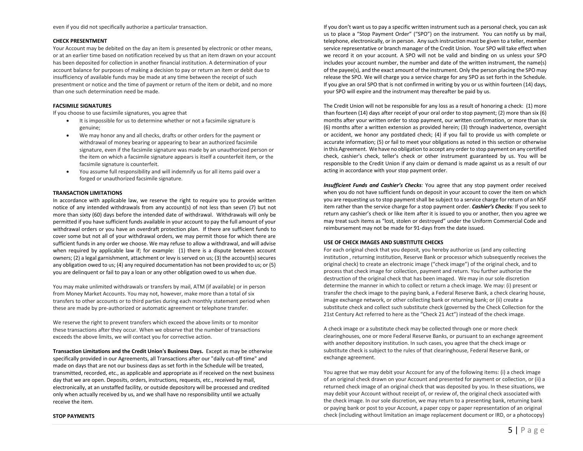# **CHECK PRESENTMENT**

Your Account may be debited on the day an item is presented by electronic or other means, or at an earlier time based on notification received by us that an item drawn on your account has been deposited for collection in another financial institution. A determination of your account balance for purposes of making a decision to pay or return an item or debit due to insufficiency of available funds may be made at any time between the receipt of such presentment or notice and the time of payment or return of the item or debit, and no more than one such determination need be made.

# **FACSIMILE SIGNATURES**

If you choose to use facsimile signatures, you agree that

- It is impossible for us to determine whether or not a facsimile signature is genuine;
- We may honor any and all checks, drafts or other orders for the payment or withdrawal of money bearing or appearing to bear an authorized facsimile signature, even if the facsimile signature was made by an unauthorized person or the item on which a facsimile signature appears is itself a counterfeit item, or the facsimile signature is counterfeit.
- You assume full responsibility and will indemnify us for all items paid over a forged or unauthorized facsimile signature.

#### **TRANSACTION LIMITATIONS**

In accordance with applicable law, we reserve the right to require you to provide written notice of any intended withdrawals from any account(s) of not less than seven (7) but not more than sixty (60) days before the intended date of withdrawal. Withdrawals will only be permitted if you have sufficient funds available in your account to pay the full amount of your withdrawal orders or you have an overdraft protection plan. If there are sufficient funds to cover some but not all of your withdrawal orders, we may permit those for which there are sufficient funds in any order we choose. We may refuse to allow a withdrawal, and will advise when required by applicable law if; for example: (1) there is a dispute between account owners; (2) a legal garnishment, attachment or levy is served on us; (3) the account(s) secures any obligation owed to us; (4) any required documentation has not been provided to us; or (5) you are delinquent or fail to pay a loan or any other obligation owed to us when due.

You may make unlimited withdrawals or transfers by mail, ATM (if available) or in person from Money Market Accounts. You may not, however, make more than a total of six transfers to other accounts or to third parties during each monthly statement period when these are made by pre-authorized or automatic agreement or telephone transfer.

We reserve the right to prevent transfers which exceed the above limits or to monitor these transactions after they occur. When we observe that the number of transactions exceeds the above limits, we will contact you for corrective action.

**Transaction Limitations and the Credit Union's Business Days.** Except as may be otherwise specifically provided in our Agreements, all Transactions after our "daily cut-off time" and made on days that are not our business days as set forth in the Schedule will be treated, transmitted, recorded, etc., as applicable and appropriate as if received on the next business day that we are open. Deposits, orders, instructions, requests, etc., received by mail, electronically, at an unstaffed facility, or outside depository will be processed and credited only when actually received by us, and we shall have no responsibility until we actually receive the item.

If you don't want us to pay a specific written instrument such as a personal check, you can ask us to place a "Stop Payment Order" ("SPO") on the instrument. You can notify us by mail, telephone, electronically, or in person. Any such instruction must be given to a teller, member service representative or branch manager of the Credit Union. Your SPO will take effect when we record it on your account. A SPO will not be valid and binding on us unless your SPO includes your account number, the number and date of the written instrument, the name(s) of the payee(s), and the exact amount of the instrument. Only the person placing the SPO may release the SPO. We will charge you a service charge for any SPO as set forth in the Schedule. If you give an oral SPO that is not confirmed in writing by you or us within fourteen (14) days, your SPO will expire and the instrument may thereafter be paid by us.

The Credit Union will not be responsible for any loss as a result of honoring a check: (1) more than fourteen (14) days after receipt of your oral order to stop payment; (2) more than six (6) months after your written order to stop payment, our written confirmation, or more than six (6) months after a written extension as provided herein; (3) through inadvertence, oversight or accident, we honor any postdated check; (4) if you fail to provide us with complete or accurate information; (5) or fail to meet your obligations as noted in this section or otherwise in this Agreement. We have no obligation to accept any order to stop payment on any certified check, cashier's check, teller's check or other instrument guaranteed by us. You will be responsible to the Credit Union if any claim or demand is made against us as a result of our acting in accordance with your stop payment order.

*Insufficient Funds and Cashier's Checks:* You agree that any stop payment order received when you do not have sufficient funds on deposit in your account to cover the item on which you are requesting us to stop payment shall be subject to a service charge for return of an NSF item rather than the service charge for a stop payment order. *Cashier's Checks:* If you seek to return any cashier's check or like item after it is issued to you or another, then you agree we may treat such items as "lost, stolen or destroyed" under the Uniform Commercial Code and reimbursement may not be made for 91-days from the date issued.

#### **USE OF CHECK IMAGES AND SUBSTITUTE CHECKS**

For each original check that you deposit, you hereby authorize us (and any collecting institution , returning institution, Reserve Bank or processor which subsequently receives the original check) to create an electronic image ("check image") of the original check, and to process that check image for collection, payment and return. You further authorize the destruction of the original check that has been imaged. We may in our sole discretion determine the manner in which to collect or return a check image. We may: (i) present or transfer the check image to the paying bank, a Federal Reserve Bank, a check clearing house, image exchange network, or other collecting bank or returning bank; or (ii) create a substitute check and collect such substitute check (governed by the Check Collection for the 21st Century Act referred to here as the "Check 21 Act") instead of the check image.

A check image or a substitute check may be collected through one or more check clearinghouses, one or more Federal Reserve Banks, or pursuant to an exchange agreement with another depository institution. In such cases, you agree that the check image or substitute check is subject to the rules of that clearinghouse, Federal Reserve Bank, or exchange agreement.

You agree that we may debit your Account for any of the following items: (i) a check image of an original check drawn on your Account and presented for payment or collection, or (ii) a returned check image of an original check that was deposited by you. In these situations, we may debit your Account without receipt of, or review of, the original check associated with the check image. In our sole discretion, we may return to a presenting bank, returning bank or paying bank or post to your Account, a paper copy or paper representation of an original check (including without limitation an image replacement document or IRD, or a photocopy)

#### **STOP PAYMENTS**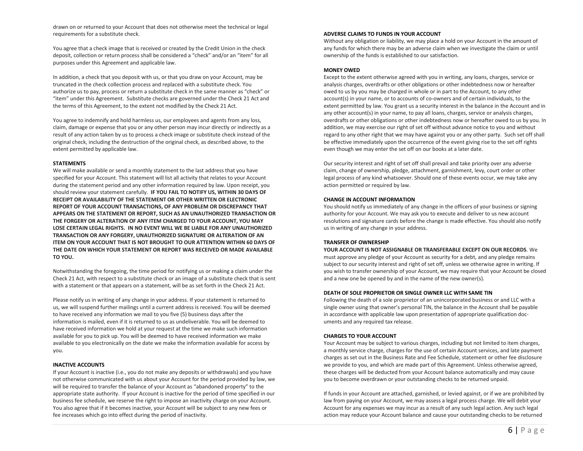drawn on or returned to your Account that does not otherwise meet the technical or legal requirements for a substitute check.

You agree that a check image that is received or created by the Credit Union in the check deposit, collection or return process shall be considered a "check" and/or an "item" for all purposes under this Agreement and applicable law.

In addition, a check that you deposit with us, or that you draw on your Account, may be truncated in the check collection process and replaced with a substitute check. You authorize us to pay, process or return a substitute check in the same manner as "check" or "item" under this Agreement. Substitute checks are governed under the Check 21 Act and the terms of this Agreement, to the extent not modified by the Check 21 Act.

You agree to indemnify and hold harmless us, our employees and agents from any loss, claim, damage or expense that you or any other person may incur directly or indirectly as a result of any action taken by us to process a check image or substitute check instead of the original check, including the destruction of the original check, as described above, to the extent permitted by applicable law.

#### **STATEMENTS**

We will make available or send a monthly statement to the last address that you have specified for your Account. This statement will list all activity that relates to your Account during the statement period and any other information required by law. Upon receipt, you should review your statement carefully. **IF YOU FAIL TO NOTIFY US, WITHIN 30 DAYS OF RECEIPT OR AVAILABILITY OF THE STATEMENT OR OTHER WRITTEN OR ELECTRONIC REPORT OF YOUR ACCOUNT TRANSACTIONS, OF ANY PROBLEM OR DISCREPANCY THAT APPEARS ON THE STATEMENT OR REPORT, SUCH AS AN UNAUTHORIZED TRANSACTION OR THE FORGERY OR ALTERATION OF ANY ITEM CHARGED TO YOUR ACCOUNT, YOU MAY LOSE CERTAIN LEGAL RIGHTS. IN NO EVENT WILL WE BE LIABLE FOR ANY UNAUTHORIZED TRANSACTION OR ANY FORGERY, UNAUTHORIZED SIGNATURE OR ALTERATION OF AN ITEM ON YOUR ACCOUNT THAT IS NOT BROUGHT TO OUR ATTENTION WITHIN 60 DAYS OF THE DATE ON WHICH YOUR STATEMENT OR REPORT WAS RECEIVED OR MADE AVAILABLE TO YOU.** 

Notwithstanding the foregoing, the time period for notifying us or making a claim under the Check 21 Act, with respect to a substitute check or an image of a substitute check that is sent with a statement or that appears on a statement, will be as set forth in the Check 21 Act.

Please notify us in writing of any change in your address. If your statement is returned to us, we will suspend further mailings until a current address is received. You will be deemed to have received any information we mail to you five (5) business days after the information is mailed, even if it is returned to us as undeliverable. You will be deemed to have received information we hold at your request at the time we make such information available for you to pick up. You will be deemed to have received information we make available to you electronically on the date we make the information available for access by you.

#### **INACTIVE ACCOUNTS**

If your Account is inactive (i.e., you do not make any deposits or withdrawals) and you have not otherwise communicated with us about your Account for the period provided by law, we will be required to transfer the balance of your Account as "abandoned property" to the appropriate state authority. If your Account is inactive for the period of time specified in our business fee schedule, we reserve the right to impose an inactivity charge on your Account. You also agree that if it becomes inactive, your Account will be subject to any new fees or fee increases which go into effect during the period of inactivity.

#### **ADVERSE CLAIMS TO FUNDS IN YOUR ACCOUNT**

Without any obligation or liability, we may place a hold on your Account in the amount of any funds for which there may be an adverse claim when we investigate the claim or until ownership of the funds is established to our satisfaction.

#### **MONEY OWED**

Except to the extent otherwise agreed with you in writing, any loans, charges, service or analysis charges, overdrafts or other obligations or other indebtedness now or hereafter owed to us by you may be charged in whole or in part to the Account, to any other account(s) in your name, or to accounts of co-owners and of certain individuals, to the extent permitted by law. You grant us a security interest in the balance in the Account and in any other account(s) in your name, to pay all loans, charges, service or analysis charges, overdrafts or other obligations or other indebtedness now or hereafter owed to us by you. In addition, we may exercise our right of set off without advance notice to you and without regard to any other right that we may have against you or any other party. Such set off shall be effective immediately upon the occurrence of the event giving rise to the set off rights even though we may enter the set off on our books at a later date.

Our security interest and right of set off shall prevail and take priority over any adverse claim, change of ownership, pledge, attachment, garnishment, levy, court order or other legal process of any kind whatsoever. Should one of these events occur, we may take any action permitted or required by law.

#### **CHANGE IN ACCOUNT INFORMATION**

You should notify us immediately of any change in the officers of your business or signing authority for your Account. We may ask you to execute and deliver to us new account resolutions and signature cards before the change is made effective. You should also notify us in writing of any change in your address.

#### **TRANSFER OF OWNERSHIP**

**YOUR ACCOUNT IS NOT ASSIGNABLE OR TRANSFERABLE EXCEPT ON OUR RECORDS**. We must approve any pledge of your Account as security for a debt, and any pledge remains subject to our security interest and right of set off, unless we otherwise agree in writing. If you wish to transfer ownership of your Account, we may require that your Account be closed and a new one be opened by and in the name of the new owner(s).

#### **DEATH OF SOLE PROPRIETOR OR SINGLE OWNER LLC WITH SAME TIN**

Following the death of a sole proprietor of an unincorporated business or and LLC with a single owner using that owner's personal TIN, the balance in the Account shall be payable in accordance with applicable law upon presentation of appropriate qualification documents and any required tax release.

#### **CHARGES TO YOUR ACCOUNT**

Your Account may be subject to various charges, including but not limited to item charges, a monthly service charge, charges for the use of certain Account services, and late payment charges as set out in the Business Rate and Fee Schedule, statement or other fee disclosure we provide to you, and which are made part of this Agreement. Unless otherwise agreed, these charges will be deducted from your Account balance automatically and may cause you to become overdrawn or your outstanding checks to be returned unpaid.

If funds in your Account are attached, garnished, or levied against, or if we are prohibited by law from paying on your Account, we may assess a legal process charge. We will debit your Account for any expenses we may incur as a result of any such legal action. Any such legal action may reduce your Account balance and cause your outstanding checks to be returned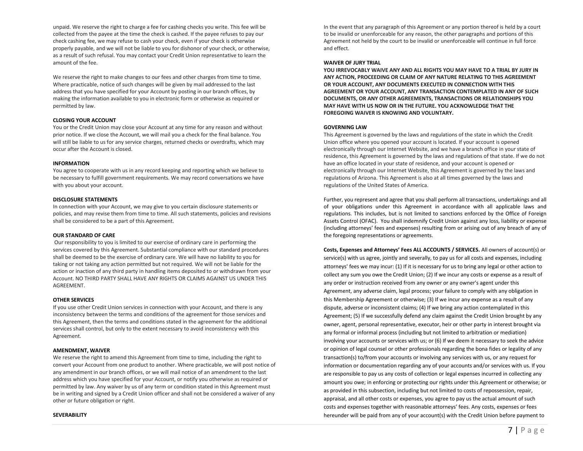unpaid. We reserve the right to charge a fee for cashing checks you write. This fee will be collected from the payee at the time the check is cashed. If the payee refuses to pay our check cashing fee, we may refuse to cash your check, even if your check is otherwise properly payable, and we will not be liable to you for dishonor of your check, or otherwise, as a result of such refusal. You may contact your Credit Union representative to learn the amount of the fee.

We reserve the right to make changes to our fees and other charges from time to time. Where practicable, notice of such changes will be given by mail addressed to the last address that you have specified for your Account by posting in our branch offices, by making the information available to you in electronic form or otherwise as required or permitted by law.

#### **CLOSING YOUR ACCOUNT**

You or the Credit Union may close your Account at any time for any reason and without prior notice. If we close the Account, we will mail you a check for the final balance. You will still be liable to us for any service charges, returned checks or overdrafts, which may occur after the Account is closed.

#### **INFORMATION**

You agree to cooperate with us in any record keeping and reporting which we believe to be necessary to fulfill government requirements. We may record conversations we have with you about your account.

#### **DISCLOSURE STATEMENTS**

In connection with your Account, we may give to you certain disclosure statements or policies, and may revise them from time to time. All such statements, policies and revisions shall be considered to be a part of this Agreement.

## **OUR STANDARD OF CARE**

Our responsibility to you is limited to our exercise of ordinary care in performing the services covered by this Agreement. Substantial compliance with our standard procedures shall be deemed to be the exercise of ordinary care. We will have no liability to you for taking or not taking any action permitted but not required. We will not be liable for the action or inaction of any third party in handling items deposited to or withdrawn from your Account. NO THIRD PARTY SHALL HAVE ANY RIGHTS OR CLAIMS AGAINST US UNDER THIS AGREEMENT.

## **OTHER SERVICES**

If you use other Credit Union services in connection with your Account, and there is any inconsistency between the terms and conditions of the agreement for those services and this Agreement, then the terms and conditions stated in the agreement for the additional services shall control, but only to the extent necessary to avoid inconsistency with this Agreement.

#### **AMENDMENT, WAIVER**

We reserve the right to amend this Agreement from time to time, including the right to convert your Account from one product to another. Where practicable, we will post notice of any amendment in our branch offices, or we will mail notice of an amendment to the last address which you have specified for your Account, or notify you otherwise as required or permitted by law. Any waiver by us of any term or condition stated in this Agreement must be in writing and signed by a Credit Union officer and shall not be considered a waiver of any other or future obligation or right.

In the event that any paragraph of this Agreement or any portion thereof is held by a court to be invalid or unenforceable for any reason, the other paragraphs and portions of this Agreement not held by the court to be invalid or unenforceable will continue in full force and effect.

#### **WAIVER OF JURY TRIAL**

**YOU IRREVOCABLY WAIVE ANY AND ALL RIGHTS YOU MAY HAVE TO A TRIAL BY JURY IN ANY ACTION, PROCEEDING OR CLAIM OF ANY NATURE RELATING TO THIS AGREEMENT OR YOUR ACCOUNT, ANY DOCUMENTS EXECUTED IN CONNECTION WITH THIS AGREEMENT OR YOUR ACCOUNT, ANY TRANSACTION CONTEMPLATED IN ANY OF SUCH DOCUMENTS, OR ANY OTHER AGREEMENTS, TRANSACTIONS OR RELATIONSHIPS YOU MAY HAVE WITH US NOW OR IN THE FUTURE. YOU ACKNOWLEDGE THAT THE FOREGOING WAIVER IS KNOWING AND VOLUNTARY.** 

#### **GOVERNING LAW**

This Agreement is governed by the laws and regulations of the state in which the Credit Union office where you opened your account is located. If your account is opened electronically through our Internet Website, and we have a branch office in your state of residence, this Agreement is governed by the laws and regulations of that state. If we do not have an office located in your state of residence, and your account is opened or electronically through our Internet Website, this Agreement is governed by the laws and regulations of Arizona. This Agreement is also at all times governed by the laws and regulations of the United States of America.

Further, you represent and agree that you shall perform all transactions, undertakings and all of your obligations under this Agreement in accordance with all applicable laws and regulations. This includes, but is not limited to sanctions enforced by the Office of Foreign Assets Control (OFAC). You shall indemnify Credit Union against any loss, liability or expense (including attorneys' fees and expenses) resulting from or arising out of any breach of any of the foregoing representations or agreements.

**Costs, Expenses and Attorneys' Fees ALL ACCOUNTS / SERVICES.** All owners of account(s) or service(s) with us agree, jointly and severally, to pay us for all costs and expenses, including attorneys' fees we may incur: (1) If it is necessary for us to bring any legal or other action to collect any sum you owe the Credit Union; (2) If we incur any costs or expense as a result of any order or instruction received from any owner or any owner's agent under this Agreement, any adverse claim, legal process; your failure to comply with any obligation in this Membership Agreement or otherwise; (3) If we incur any expense as a result of any dispute, adverse or inconsistent claims; (4) If we bring any action contemplated in this Agreement; (5) If we successfully defend any claim against the Credit Union brought by any owner, agent, personal representative, executor, heir or other party in interest brought via any formal or informal process (including but not limited to arbitration or mediation) involving your accounts or services with us; or (6) If we deem it necessary to seek the advice or opinion of legal counsel or other professionals regarding the bona fides or legality of any transaction(s) to/from your accounts or involving any services with us, or any request for information or documentation regarding any of your accounts and/or services with us. If you are responsible to pay us any costs of collection or legal expenses incurred in collecting any amount you owe; in enforcing or protecting our rights under this Agreement or otherwise; or as provided in this subsection, including but not limited to costs of repossession, repair, appraisal, and all other costs or expenses, you agree to pay us the actual amount of such costs and expenses together with reasonable attorneys' fees. Any costs, expenses or fees hereunder will be paid from any of your account(s) with the Credit Union before payment to

#### **SEVERABILITY**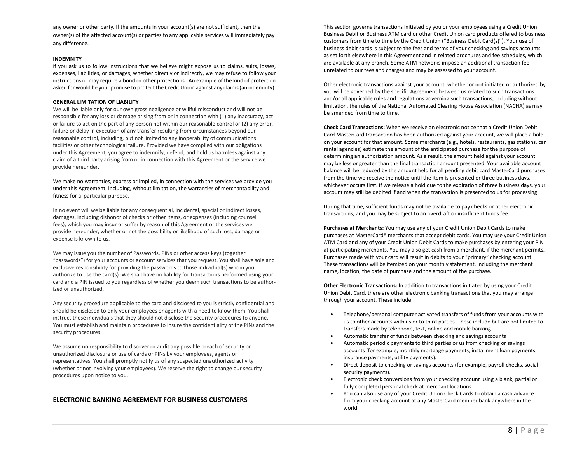any owner or other party. If the amounts in your account(s) are not sufficient, then the owner(s) of the affected account(s) or parties to any applicable services will immediately pay any difference.

#### **INDEMNITY**

If you ask us to follow instructions that we believe might expose us to claims, suits, losses, expenses, liabilities, or damages, whether directly or indirectly, we may refuse to follow your instructions or may require a bond or other protections. An example of the kind of protection asked for would be your promise to protect the Credit Union against any claims (an indemnity).

#### **GENERAL LIMITATION OF LIABILITY**

We will be liable only for our own gross negligence or willful misconduct and will not be responsible for any loss or damage arising from or in connection with (1) any inaccuracy, act or failure to act on the part of any person not within our reasonable control or (2) any error, failure or delay in execution of any transfer resulting from circumstances beyond our reasonable control, including, but not limited to any inoperability of communications facilities or other technological failure. Provided we have complied with our obligations under this Agreement, you agree to indemnify, defend, and hold us harmless against any claim of a third party arising from or in connection with this Agreement or the service we provide hereunder.

We make no warranties, express or implied, in connection with the services we provide you under this Agreement, including, without limitation, the warranties of merchantability and fitness for a particular purpose.

In no event will we be liable for any consequential, incidental, special or indirect losses, damages, including dishonor of checks or other items, or expenses (including counsel fees), which you may incur or suffer by reason of this Agreement or the services we provide hereunder, whether or not the possibility or likelihood of such loss, damage or expense is known to us.

We may issue you the number of Passwords, PINs or other access keys (together "passwords") for your accounts or account services that you request. You shall have sole and exclusive responsibility for providing the passwords to those individual(s) whom you authorize to use the card(s). We shall have no liability for transactions performed using your card and a PIN issued to you regardless of whether you deem such transactions to be authorized or unauthorized.

Any security procedure applicable to the card and disclosed to you is strictly confidential and should be disclosed to only your employees or agents with a need to know them. You shall instruct those individuals that they should not disclose the security procedures to anyone. You must establish and maintain procedures to insure the confidentiality of the PINs and the security procedures.

We assume no responsibility to discover or audit any possible breach of security or unauthorized disclosure or use of cards or PINs by your employees, agents or representatives. You shall promptly notify us of any suspected unauthorized activity (whether or not involving your employees). We reserve the right to change our security procedures upon notice to you.

# **ELECTRONIC BANKING AGREEMENT FOR BUSINESS CUSTOMERS**

This section governs transactions initiated by you or your employees using a Credit Union Business Debit or Business ATM card or other Credit Union card products offered to business customers from time to time by the Credit Union ("Business Debit Card(s)"). Your use of business debit cards is subject to the fees and terms of your checking and savings accounts as set forth elsewhere in this Agreement and in related brochures and fee schedules, which are available at any branch. Some ATM networks impose an additional transaction fee unrelated to our fees and charges and may be assessed to your account.

Other electronic transactions against your account, whether or not initiated or authorized by you will be governed by the specific Agreement between us related to such transactions and/or all applicable rules and regulations governing such transactions, including without limitation, the rules of the National Automated Clearing House Association (NACHA) as may be amended from time to time.

**Check Card Transactions:** When we receive an electronic notice that a Credit Union Debit Card MasterCard transaction has been authorized against your account, we will place a hold on your account for that amount. Some merchants (e.g., hotels, restaurants, gas stations, car rental agencies) estimate the amount of the anticipated purchase for the purpose of determining an authorization amount. As a result, the amount held against your account may be less or greater than the final transaction amount presented. Your available account balance will be reduced by the amount held for all pending debit card MasterCard purchases from the time we receive the notice until the item is presented or three business days, whichever occurs first. If we release a hold due to the expiration of three business days, your account may still be debited if and when the transaction is presented to us for processing.

During that time, sufficient funds may not be available to pay checks or other electronic transactions, and you may be subject to an overdraft or insufficient funds fee.

**Purchases at Merchants:** You may use any of your Credit Union Debit Cards to make purchases at MasterCard® merchants that accept debit cards. You may use your Credit Union ATM Card and any of your Credit Union Debit Cards to make purchases by entering your PIN at participating merchants. You may also get cash from a merchant, if the merchant permits. Purchases made with your card will result in debits to your "primary" checking account. These transactions will be itemized on your monthly statement, including the merchant name, location, the date of purchase and the amount of the purchase.

**Other Electronic Transactions:** In addition to transactions initiated by using your Credit Union Debit Card, there are other electronic banking transactions that you may arrange through your account. These include:

- Telephone/personal computer activated transfers of funds from your accounts with us to other accounts with us or to third parties. These include but are not limited to transfers made by telephone, text, online and mobile banking.
- Automatic transfer of funds between checking and savings accounts
- Automatic periodic payments to third parties or us from checking or savings accounts (for example, monthly mortgage payments, installment loan payments, insurance payments, utility payments).
- Direct deposit to checking or savings accounts (for example, payroll checks, social security payments).
- Electronic check conversions from your checking account using a blank, partial or fully completed personal check at merchant locations.
- You can also use any of your Credit Union Check Cards to obtain a cash advance from your checking account at any MasterCard member bank anywhere in the world.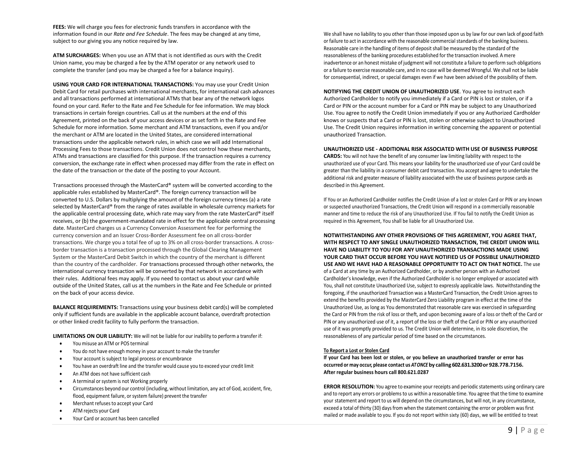**FEES:** We will charge you fees for electronic funds transfers in accordance with the information found in our *Rate and Fee Schedule*. The fees may be changed at any time, subject to our giving you any notice required by law.

**ATM SURCHARGES:** When you use an ATM that is not identified as ours with the Credit Union name, you may be charged a fee by the ATM operator or any network used to complete the transfer (and you may be charged a fee for a balance inquiry).

**USING YOUR CARD FOR INTERNATIONAL TRANSACTIONS:** You may use your Credit Union Debit Card for retail purchases with international merchants, for international cash advances and all transactions performed at international ATMs that bear any of the network logos found on your card. Refer to the Rate and Fee Schedule for fee information. We may block transactions in certain foreign countries. Call us at the numbers at the end of this Agreement, printed on the back of your access devices or as set forth in the Rate and Fee Schedule for more information. Some merchant and ATM transactions, even if you and/or the merchant or ATM are located in the United States, are considered international transactions under the applicable network rules, in which case we will add International Processing Fees to those transactions. Credit Union does not control how these merchants, ATMs and transactions are classified for this purpose. If the transaction requires a currency conversion, the exchange rate in effect when processed may differ from the rate in effect on the date of the transaction or the date of the posting to your Account.

Transactions processed through the MasterCard® system will be converted according to the applicable rules established by MasterCard®. The foreign currency transaction will be converted to U.S. Dollars by multiplying the amount of the foreign currency times (a) a rate selected by MasterCard® from the range of rates available in wholesale currency markets for the applicable central processing date, which rate may vary from the rate MasterCard® itself receives, or (b) the government-mandated rate in effect for the applicable central processing date. MasterCard charges us a Currency Conversion Assessment fee for performing the currency conversion and an Issuer Cross-Border Assessment fee on all cross-border transactions. We charge you a total fee of up to 3% on all cross-border transactions. A crossborder transaction is a transaction processed through the Global Clearing Management System or the MasterCard Debit Switch in which the country of the merchant is different than the country of the cardholder. For transactions processed through other networks, the international currency transaction will be converted by that network in accordance with their rules. Additional fees may apply. If you need to contact us about your card while outside of the United States, call us at the numbers in the Rate and Fee Schedule or printed on the back of your access device.

**BALANCE REQUIREMENTS:** Transactions using your business debit card(s) will be completed only if sufficient funds are available in the applicable account balance, overdraft protection or other linked credit facility to fully perform the transaction.

**LIMITATIONS ON OUR LIABILITY:** We will not be liable for our inability to perform a transfer if:

- You misuse an ATM or POS terminal
- You do not have enough money in your account to make the transfer
- Your account is subject to legal process or encumbrance
- You have an overdraft line and the transfer would cause you to exceed your credit limit
- An ATM does not have sufficient cash
- A terminal orsystem is not Working properly
- Circumstances beyond our control (including, without limitation, any act of God, accident, fire, flood, equipment failure, or system failure) prevent the transfer
- Merchant refusesto accept your Card
- ATM rejects your Card
- Your Card or account has been cancelled

We shall have no liability to you other than those imposed upon us by law for our own lack of good faith or failure to act in accordance with the reasonable commercial standards of the banking business. Reasonable care in the handling of items of deposit shall be measured by the standard of the reasonableness of the banking procedures established for the transaction involved. A mere inadvertence or an honest mistake of judgment will not constitute a failure to perform such obligations or a failure to exercise reasonable care, and in no case will be deemed Wrongful. We shall not be liable for consequential, indirect, or special damages even if we have been advised of the possibility of them.

**NOTIFYING THE CREDIT UNION OF UNAUTHORIZED USE**. You agree to instruct each Authorized Cardholder to notify you immediately if a Card or PIN is lost or stolen, or if a Card or PIN or the account number for a Card or PIN may be subject to any Unauthorized Use. You agree to notify the Credit Union immediately if you or any Authorized Cardholder knows or suspects that a Card or PIN is lost, stolen or otherwise subject to Unauthorized Use. The Credit Union requires information in writing concerning the apparent or potential unauthorized Transaction.

**UNAUTHORIZED USE - ADDITIONAL RISK ASSOCIATED WITH USE OF BUSINESS PURPOSE CARDS:** You will not have the benefit of any consumer law limiting liability with respect to the unauthorized use of your Card. This means your liability for the unauthorized use of your Card could be greater than the liability in a consumer debit card transaction. You accept and agree to undertake the additional risk and greater measure of liability associated with the use of business purpose cards as described in this Agreement.

If You or an Authorized Cardholder notifies the Credit Union of a lost or stolen Card or PIN or any known or suspected unauthorized Transactions, the Credit Union will respond in a commercially reasonable manner and time to reduce the risk of any Unauthorized Use. If You fail to notify the Credit Union as required in this Agreement, You shall be liable for all Unauthorized Use.

**NOTWITHSTANDING ANY OTHER PROVISIONS OF THIS AGREEMENT, YOU AGREE THAT, WITH RESPECT TO ANY SINGLE UNAUTHORIZED TRANSACTION, THE CREDIT UNION WILL HAVE NO LIABILITY TO YOU FOR ANY UNAUTHORIZED TRANSACTIONS MADE USING YOUR CARD THAT OCCUR BEFORE YOU HAVE NOTIFIED US OF POSSIBLE UNAUTHORIZED USE AND WE HAVE HAD A REASONABLE OPPORTUNITY TO ACT ON THAT NOTICE.** The use of a Card at any time by an Authorized Cardholder, or by another person with an Authorized Cardholder's knowledge, even if the Authorized Cardholder is no longer employed or associated with You, shall not constitute Unauthorized Use, subject to expressly applicable laws. Notwithstanding the foregoing, if the unauthorized Transaction was a MasterCard Transaction, the Credit Union agrees to extend the benefits provided by the MasterCard Zero Liability program in effect at the time of the Unauthorized Use, as long as You demonstrated that reasonable care was exercised in safeguarding the Card or PIN from the risk of loss or theft, and upon becoming aware of a loss or theft of the Card or PIN or any unauthorized use of it, a report of the loss or theft of the Card or PIN or any unauthorized use of it was promptly provided to us. The Credit Union will determine, in its sole discretion, the reasonableness of any particular period of time based on the circumstances.

#### **To Report a Lost or Stolen Card**

**If your Card has been lost or stolen, or you believe an unauthorized transfer or error has occurred or may occur, please contact us** *ATONCE* **by calling 602.631.3200or 928.778.7156. After regular business hours call 800.621.0287**

**ERROR RESOLUTION:** You agree to examine your receipts and periodic statements using ordinary care and to report any errors or problems to us within a reasonable time. You agree that the time to examine your statement and report to us will depend on the circumstances, but will not, in any circumstance, exceed a total of thirty (30) days from when the statement containing the error or problem was first mailed or made available to you. If you do not report within sixty (60) days, we will be entitled to treat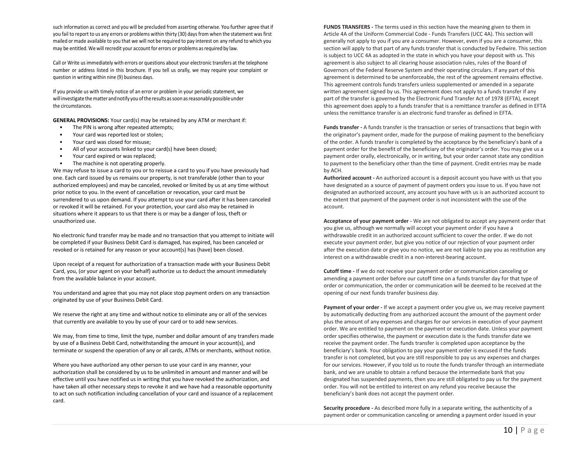such information as correct and you will be precluded from asserting otherwise. You further agree that if you fail to report to us any errors or problems within thirty (30) days from when the statement was first mailed or made available to you that we will not be required to pay interest on any refund to which you may be entitled. We will recredit your account for errors or problems as required by law.

Call or Write us immediately with errors or questions about your electronic transfers at the telephone number or address listed in this brochure. If you tell us orally, we may require your complaint or question in writing within nine (9) business days.

If you provide us with timely notice of an error or problem in your periodic statement, we will investigate the matter and notify you of the results as soon as reasonably possible under the circumstances.

**GENERAL PROVISIONS:** Your card(s) may be retained by any ATM or merchant if:

- The PIN is wrong after repeated attempts;
- Your card was reported lost or stolen;
- Your card was closed for misuse;
- All of your accounts linked to your card(s) have been closed;
- Your card expired or was replaced;
- The machine is not operating properly.

We may refuse to issue a card to you or to reissue a card to you if you have previously had one. Each card issued by us remains our property, is not transferable (other than to your authorized employees) and may be canceled, revoked or limited by us at any time without prior notice to you. In the event of cancellation or revocation, your card must be surrendered to us upon demand. If you attempt to use your card after it has been canceled or revoked it will be retained. For your protection, your card also may be retained in situations where it appears to us that there is or may be a danger of loss, theft or unauthorized use.

No electronic fund transfer may be made and no transaction that you attempt to initiate will be completed if your Business Debit Card is damaged, has expired, has been canceled or revoked or is retained for any reason or your account(s) has (have) been closed.

Upon receipt of a request for authorization of a transaction made with your Business Debit Card, you, (or your agent on your behalf) authorize us to deduct the amount immediately from the available balance in your account.

You understand and agree that you may not place stop payment orders on any transaction originated by use of your Business Debit Card.

We reserve the right at any time and without notice to eliminate any or all of the services that currently are available to you by use of your card or to add new services.

We may, from time to time, limit the type, number and dollar amount of any transfers made by use of a Business Debit Card, notwithstanding the amount in your account(s), and terminate or suspend the operation of any or all cards, ATMs or merchants, without notice.

Where you have authorized any other person to use your card in any manner, your authorization shall be considered by us to be unlimited in amount and manner and will be effective until you have notified us in writing that you have revoked the authorization, and have taken all other necessary steps to revoke it and we have had a reasonable opportunity to act on such notification including cancellation of your card and issuance of a replacement card.

**FUNDS TRANSFERS -** The terms used in this section have the meaning given to them in Article 4A of the Uniform Commercial Code - Funds Transfers (UCC 4A). This section will generally not apply to you if you are a consumer. However, even if you are a consumer, this section will apply to that part of any funds transfer that is conducted by Fedwire. This section is subject to UCC 4A as adopted in the state in which you have your deposit with us. This agreement is also subject to all clearing house association rules, rules of the Board of Governors of the Federal Reserve System and their operating circulars. If any part of this agreement is determined to be unenforceable, the rest of the agreement remains effective. This agreement controls funds transfers unless supplemented or amended in a separate written agreement signed by us. This agreement does not apply to a funds transfer if any part of the transfer is governed by the Electronic Fund Transfer Act of 1978 (EFTA), except this agreement does apply to a funds transfer that is a remittance transfer as defined in EFTA unless the remittance transfer is an electronic fund transfer as defined in EFTA.

**Funds transfer -** A funds transfer is the transaction or series of transactions that begin with the originator's payment order, made for the purpose of making payment to the beneficiary of the order. A funds transfer is completed by the acceptance by the beneficiary's bank of a payment order for the benefit of the beneficiary of the originator's order. You may give us a payment order orally, electronically, or in writing, but your order cannot state any condition to payment to the beneficiary other than the time of payment. Credit entries may be made by ACH.

**Authorized account -** An authorized account is a deposit account you have with us that you have designated as a source of payment of payment orders you issue to us. If you have not designated an authorized account, any account you have with us is an authorized account to the extent that payment of the payment order is not inconsistent with the use of the account.

**Acceptance of your payment order -** We are not obligated to accept any payment order that you give us, although we normally will accept your payment order if you have a withdrawable credit in an authorized account sufficient to cover the order. If we do not execute your payment order, but give you notice of our rejection of your payment order after the execution date or give you no notice, we are not liable to pay you as restitution any interest on a withdrawable credit in a non-interest-bearing account.

**Cutoff time -** If we do not receive your payment order or communication canceling or amending a payment order before our cutoff time on a funds transfer day for that type of order or communication, the order or communication will be deemed to be received at the opening of our next funds transfer business day.

**Payment of your order -** If we accept a payment order you give us, we may receive payment by automatically deducting from any authorized account the amount of the payment order plus the amount of any expenses and charges for our services in execution of your payment order. We are entitled to payment on the payment or execution date. Unless your payment order specifies otherwise, the payment or execution date is the funds transfer date we receive the payment order. The funds transfer is completed upon acceptance by the beneficiary's bank. Your obligation to pay your payment order is excused if the funds transfer is not completed, but you are still responsible to pay us any expenses and charges for our services. However, if you told us to route the funds transfer through an intermediate bank, and we are unable to obtain a refund because the intermediate bank that you designated has suspended payments, then you are still obligated to pay us for the payment order. You will not be entitled to interest on any refund you receive because the beneficiary's bank does not accept the payment order.

**Security procedure -** As described more fully in a separate writing, the authenticity of a payment order or communication canceling or amending a payment order issued in your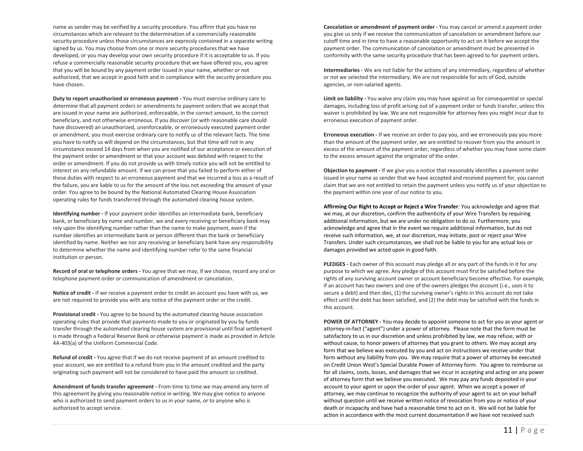name as sender may be verified by a security procedure. You affirm that you have no circumstances which are relevant to the determination of a commercially reasonable security procedure unless those circumstances are expressly contained in a separate writing signed by us. You may choose from one or more security procedures that we have developed, or you may develop your own security procedure if it is acceptable to us. If you refuse a commercially reasonable security procedure that we have offered you, you agree that you will be bound by any payment order issued in your name, whether or not authorized, that we accept in good faith and in compliance with the security procedure you have chosen.

**Duty to report unauthorized or erroneous payment -** You must exercise ordinary care to determine that all payment orders or amendments to payment orders that we accept that are issued in your name are authorized, enforceable, in the correct amount, to the correct beneficiary, and not otherwise erroneous. If you discover (or with reasonable care should have discovered) an unauthorized, unenforceable, or erroneously executed payment order or amendment, you must exercise ordinary care to notify us of the relevant facts. The time you have to notify us will depend on the circumstances, but that time will not in any circumstance exceed 14 days from when you are notified of our acceptance or execution of the payment order or amendment or that your account was debited with respect to the order or amendment. If you do not provide us with timely notice you will not be entitled to interest on any refundable amount. If we can prove that you failed to perform either of these duties with respect to an erroneous payment and that we incurred a loss as a result of the failure, you are liable to us for the amount of the loss not exceeding the amount of your order. You agree to be bound by the National Automated Clearing House Association operating rules for funds transferred through the automated clearing house system.

**Identifying number -** If your payment order identifies an intermediate bank, beneficiary bank, or beneficiary by name and number, we and every receiving or beneficiary bank may rely upon the identifying number rather than the name to make payment, even if the number identifies an intermediate bank or person different than the bank or beneficiary identified by name. Neither we nor any receiving or beneficiary bank have any responsibility to determine whether the name and identifying number refer to the same financial institution or person.

**Record of oral or telephone orders -** You agree that we may, if we choose, record any oral or telephone payment order or communication of amendment or cancelation.

**Notice of credit -** If we receive a payment order to credit an account you have with us, we are not required to provide you with any notice of the payment order or the credit.

**Provisional credit -** You agree to be bound by the automated clearing house association operating rules that provide that payments made to you or originated by you by funds transfer through the automated clearing house system are provisional until final settlement is made through a Federal Reserve Bank or otherwise payment is made as provided in Article 4A-403(a) of the Uniform Commercial Code.

**Refund of credit -** You agree that if we do not receive payment of an amount credited to your account, we are entitled to a refund from you in the amount credited and the party originating such payment will not be considered to have paid the amount so credited.

**Amendment of funds transfer agreement -** From time to time we may amend any term of this agreement by giving you reasonable notice in writing. We may give notice to anyone who is authorized to send payment orders to us in your name, or to anyone who is authorized to accept service.

**Cancelation or amendment of payment order -** You may cancel or amend a payment order you give us only if we receive the communication of cancelation or amendment before our cutoff time and in time to have a reasonable opportunity to act on it before we accept the payment order. The communication of cancelation or amendment must be presented in conformity with the same security procedure that has been agreed to for payment orders.

**Intermediaries -** We are not liable for the actions of any intermediary, regardless of whether or not we selected the intermediary. We are not responsible for acts of God, outside agencies, or non-salaried agents.

**Limit on liability -** You waive any claim you may have against us for consequential or special damages, including loss of profit arising out of a payment order or funds transfer, unless this waiver is prohibited by law. We are not responsible for attorney fees you might incur due to erroneous execution of payment order.

**Erroneous execution -** If we receive an order to pay you, and we erroneously pay you more than the amount of the payment order, we are entitled to recover from you the amount in excess of the amount of the payment order, regardless of whether you may have some claim to the excess amount against the originator of the order.

**Objection to payment -** If we give you a notice that reasonably identifies a payment order issued in your name as sender that we have accepted and received payment for, you cannot claim that we are not entitled to retain the payment unless you notify us of your objection to the payment within one year of our notice to you.

**Affirming Our Right to Accept or Reject a Wire Transfer**: You acknowledge and agree that we may, at our discretion, confirm the authenticity of your Wire Transfers by requiring additional information, but we are under no obligation to do so. Furthermore, you acknowledge and agree that in the event we require additional information, but do not receive such information, we, at our discretion, may initiate, post or reject your Wire Transfers. Under such circumstances, we shall not be liable to you for any actual loss or damages provided we acted upon in good faith.

**PLEDGES -** Each owner of this account may pledge all or any part of the funds in it for any purpose to which we agree. Any pledge of this account must first be satisfied before the rights of any surviving account owner or account beneficiary become effective. For example, if an account has two owners and one of the owners pledges the account (i.e., uses it to secure a debt) and then dies, (1) the surviving owner's rights in this account do not take effect until the debt has been satisfied, and (2) the debt may be satisfied with the funds in this account.

**POWER OF ATTORNEY -** You may decide to appoint someone to act for you as your agent or attorney-in-fact ("agent") under a power of attorney. Please note that the form must be satisfactory to us in our discretion and unless prohibited by law, we may refuse, with or without cause, to honor powers of attorney that you grant to others. We may accept any form that we believe was executed by you and act on instructions we receive under that form without any liability from you. We may require that a power of attorney be executed on Credit Union West's Special Durable Power of Attorney form. You agree to reimburse us for all claims, costs, losses, and damages that we incur in accepting and acting on any power of attorney form that we believe you executed. We may pay any funds deposited in your account to your agent or upon the order of your agent. When we accept a power of attorney, we may continue to recognize the authority of your agent to act on your behalf without question until we receive written notice of revocation from you or notice of your death or incapacity and have had a reasonable time to act on it. We will not be liable for action in accordance with the most current documentation if we have not received such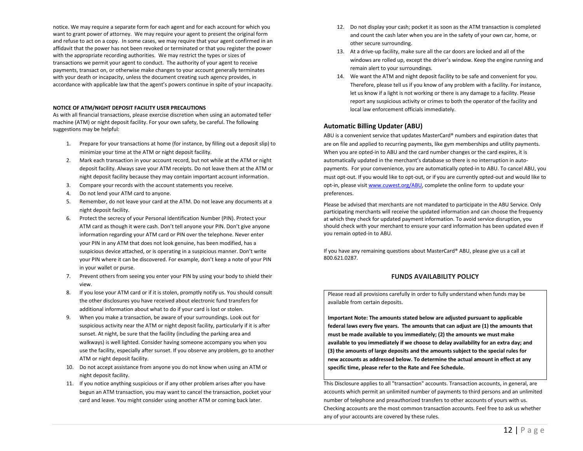notice. We may require a separate form for each agent and for each account for which you want to grant power of attorney. We may require your agent to present the original form and refuse to act on a copy. In some cases, we may require that your agent confirmed in an affidavit that the power has not been revoked or terminated or that you register the power with the appropriate recording authorities. We may restrict the types or sizes of transactions we permit your agent to conduct. The authority of your agent to receive payments, transact on, or otherwise make changes to your account generally terminates with your death or incapacity, unless the document creating such agency provides, in accordance with applicable law that the agent's powers continue in spite of your incapacity.

#### **NOTICE OF ATM/NIGHT DEPOSIT FACILITY USER PRECAUTIONS**

As with all financial transactions, please exercise discretion when using an automated teller machine (ATM) or night deposit facility. For your own safety, be careful. The following suggestions may be helpful:

- 1. Prepare for your transactions at home (for instance, by filling out a deposit slip) to minimize your time at the ATM or night deposit facility.
- 2. Mark each transaction in your account record, but not while at the ATM or night deposit facility. Always save your ATM receipts. Do not leave them at the ATM or night deposit facility because they may contain important account information.
- 3. Compare your records with the account statements you receive.
- 4. Do not lend your ATM card to anyone.
- 5. Remember, do not leave your card at the ATM. Do not leave any documents at a night deposit facility.
- 6. Protect the secrecy of your Personal Identification Number (PIN). Protect your ATM card as though it were cash. Don't tell anyone your PIN. Don't give anyone information regarding your ATM card or PIN over the telephone. Never enter your PIN in any ATM that does not look genuine, has been modified, has a suspicious device attached, or is operating in a suspicious manner. Don't write your PIN where it can be discovered. For example, don't keep a note of your PIN in your wallet or purse.
- 7. Prevent others from seeing you enter your PIN by using your body to shield their view.
- 8. If you lose your ATM card or if it is stolen, promptly notify us. You should consult the other disclosures you have received about electronic fund transfers for additional information about what to do if your card is lost or stolen.
- 9. When you make a transaction, be aware of your surroundings. Look out for suspicious activity near the ATM or night deposit facility, particularly if it is after sunset. At night, be sure that the facility (including the parking area and walkways) is well lighted. Consider having someone accompany you when you use the facility, especially after sunset. If you observe any problem, go to another ATM or night deposit facility.
- 10. Do not accept assistance from anyone you do not know when using an ATM or night deposit facility.
- 11. If you notice anything suspicious or if any other problem arises after you have begun an ATM transaction, you may want to cancel the transaction, pocket your card and leave. You might consider using another ATM or coming back later.
- 12. Do not display your cash; pocket it as soon as the ATM transaction is completed and count the cash later when you are in the safety of your own car, home, or other secure surrounding.
- 13. At a drive-up facility, make sure all the car doors are locked and all of the windows are rolled up, except the driver's window. Keep the engine running and remain alert to your surroundings.
- 14. We want the ATM and night deposit facility to be safe and convenient for you. Therefore, please tell us if you know of any problem with a facility. For instance, let us know if a light is not working or there is any damage to a facility. Please report any suspicious activity or crimes to both the operator of the facility and local law enforcement officials immediately.

## **Automatic Billing Updater (ABU)**

ABU is a convenient service that updates MasterCard® numbers and expiration dates that are on file and applied to recurring payments, like gym memberships and utility payments. When you are opted-in to ABU and the card number changes or the card expires, it is automatically updated in the merchant's database so there is no interruption in autopayments. For your convenience, you are automatically opted-in to ABU. To cancel ABU, you must opt-out. If you would like to opt-out, or if you are currently opted-out and would like to opt-in, please visi[t www.cuwest.org/ABU,](http://www.cuwest.org/ABU) complete the online form to update your preferences.

Please be advised that merchants are not mandated to participate in the ABU Service. Only participating merchants will receive the updated information and can choose the frequency at which they check for updated payment information. To avoid service disruption, you should check with your merchant to ensure your card information has been updated even if you remain opted-in to ABU.

If you have any remaining questions about MasterCard® ABU, please give us a call at 800.621.0287.

# **FUNDS AVAILABILITY POLICY**

Please read all provisions carefully in order to fully understand when funds may be available from certain deposits.

**Important Note: The amounts stated below are adjusted pursuant to applicable federal laws every five years. The amounts that can adjust are (1) the amounts that must be made available to you immediately; (2) the amounts we must make available to you immediately if we choose to delay availability for an extra day; and (3) the amounts of large deposits and the amounts subject to the special rules for new accounts as addressed below. To determine the actual amount in effect at any specific time, please refer to the Rate and Fee Schedule.**

This Disclosure applies to all "transaction" accounts. Transaction accounts, in general, are accounts which permit an unlimited number of payments to third persons and an unlimited number of telephone and preauthorized transfers to other accounts of yours with us. Checking accounts are the most common transaction accounts. Feel free to ask us whether any of your accounts are covered by these rules.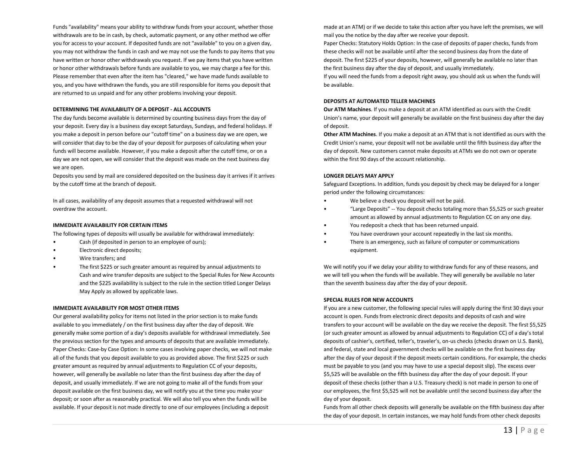Funds "availability" means your ability to withdraw funds from your account, whether those withdrawals are to be in cash, by check, automatic payment, or any other method we offer you for access to your account. If deposited funds are not "available" to you on a given day, you may not withdraw the funds in cash and we may not use the funds to pay items that you have written or honor other withdrawals you request. If we pay items that you have written or honor other withdrawals before funds are available to you, we may charge a fee for this. Please remember that even after the item has "cleared," we have made funds available to you, and you have withdrawn the funds, you are still responsible for items you deposit that are returned to us unpaid and for any other problems involving your deposit.

#### **DETERMINING THE AVAILABILITY OF A DEPOSIT - ALL ACCOUNTS**

The day funds become available is determined by counting business days from the day of your deposit. Every day is a business day except Saturdays, Sundays, and federal holidays. If you make a deposit in person before our "cutoff time" on a business day we are open, we will consider that day to be the day of your deposit for purposes of calculating when your funds will become available. However, if you make a deposit after the cutoff time, or on a day we are not open, we will consider that the deposit was made on the next business day we are open.

Deposits you send by mail are considered deposited on the business day it arrives if it arrives by the cutoff time at the branch of deposit.

In all cases, availability of any deposit assumes that a requested withdrawal will not overdraw the account.

#### **IMMEDIATE AVAILABILITY FOR CERTAIN ITEMS**

The following types of deposits will usually be available for withdrawal immediately:

- Cash (if deposited in person to an employee of ours);
- Electronic direct deposits;
- Wire transfers; and
- The first \$225 or such greater amount as required by annual adjustments to Cash and wire transfer deposits are subject to the Special Rules for New Accounts and the \$225 availability is subject to the rule in the section titled Longer Delays May Apply as allowed by applicable laws.

#### **IMMEDIATE AVAILABILITY FOR MOST OTHER ITEMS**

Our general availability policy for items not listed in the prior section is to make funds available to you immediately / on the first business day after the day of deposit. We generally make some portion of a day's deposits available for withdrawal immediately. See the previous section for the types and amounts of deposits that are available immediately. Paper Checks: Case-by Case Option: In some cases involving paper checks, we will not make all of the funds that you deposit available to you as provided above. The first \$225 or such greater amount as required by annual adjustments to Regulation CC of your deposits, however, will generally be available no later than the first business day after the day of deposit, and usually immediately. If we are not going to make all of the funds from your deposit available on the first business day, we will notify you at the time you make your deposit; or soon after as reasonably practical. We will also tell you when the funds will be available. If your deposit is not made directly to one of our employees (including a deposit

made at an ATM) or if we decide to take this action after you have left the premises, we will mail you the notice by the day after we receive your deposit.

Paper Checks: Statutory Holds Option: In the case of deposits of paper checks, funds from these checks will not be available until after the second business day from the date of deposit. The first \$225 of your deposits, however, will generally be available no later than the first business day after the day of deposit, and usually immediately.

If you will need the funds from a deposit right away, you should ask us when the funds will be available.

# **DEPOSITS AT AUTOMATED TELLER MACHINES**

**Our ATM Machines**. If you make a deposit at an ATM identified as ours with the Credit Union's name, your deposit will generally be available on the first business day after the day of deposit.

**Other ATM Machines**. If you make a deposit at an ATM that is not identified as ours with the Credit Union's name, your deposit will not be available until the fifth business day after the day of deposit. New customers cannot make deposits at ATMs we do not own or operate within the first 90 days of the account relationship.

#### **LONGER DELAYS MAY APPLY**

Safeguard Exceptions. In addition, funds you deposit by check may be delayed for a longer period under the following circumstances:

- We believe a check you deposit will not be paid.
- "Large Deposits" -- You deposit checks totaling more than \$5,525 or such greater amount as allowed by annual adjustments to Regulation CC on any one day.
- You redeposit a check that has been returned unpaid.
- You have overdrawn your account repeatedly in the last six months.
- There is an emergency, such as failure of computer or communications equipment.

We will notify you if we delay your ability to withdraw funds for any of these reasons, and we will tell you when the funds will be available. They will generally be available no later than the seventh business day after the day of your deposit.

# **SPECIAL RULES FOR NEW ACCOUNTS**

If you are a new customer, the following special rules will apply during the first 30 days your account is open. Funds from electronic direct deposits and deposits of cash and wire transfers to your account will be available on the day we receive the deposit. The first \$5,525 (or such greater amount as allowed by annual adjustments to Regulation CC) of a day's total deposits of cashier's, certified, teller's, traveler's, on-us checks (checks drawn on U.S. Bank), and federal, state and local government checks will be available on the first business day after the day of your deposit if the deposit meets certain conditions. For example, the checks must be payable to you (and you may have to use a special deposit slip). The excess over \$5,525 will be available on the fifth business day after the day of your deposit. If your deposit of these checks (other than a U.S. Treasury check) is not made in person to one of our employees, the first \$5,525 will not be available until the second business day after the day of your deposit.

Funds from all other check deposits will generally be available on the fifth business day after the day of your deposit. In certain instances, we may hold funds from other check deposits